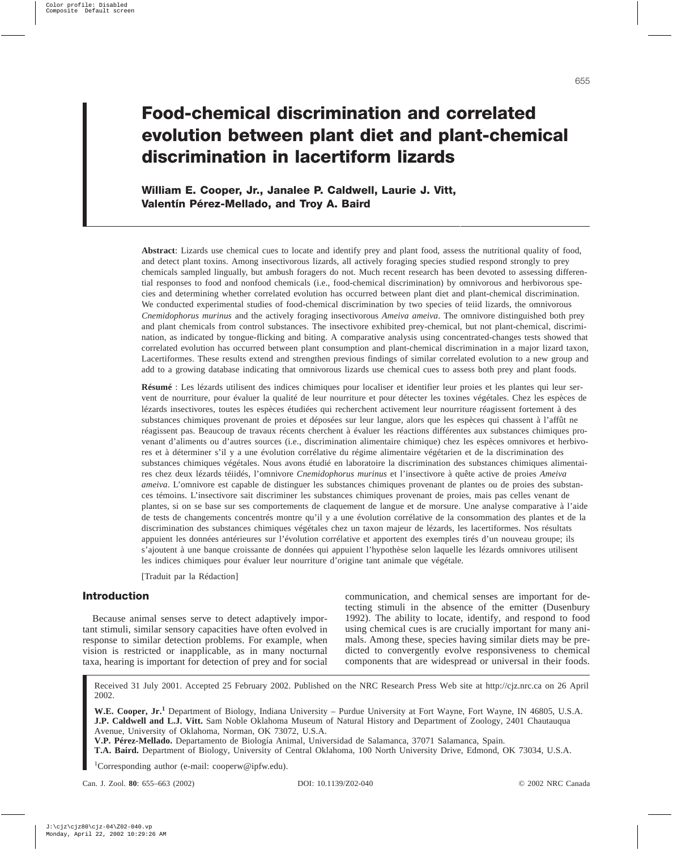# **Food-chemical discrimination and correlated evolution between plant diet and plant-chemical discrimination in lacertiform lizards**

**William E. Cooper, Jr., Janalee P. Caldwell, Laurie J. Vitt, Valentín Pérez-Mellado, and Troy A. Baird**

**Abstract**: Lizards use chemical cues to locate and identify prey and plant food, assess the nutritional quality of food, and detect plant toxins. Among insectivorous lizards, all actively foraging species studied respond strongly to prey chemicals sampled lingually, but ambush foragers do not. Much recent research has been devoted to assessing differential responses to food and nonfood chemicals (i.e., food-chemical discrimination) by omnivorous and herbivorous species and determining whether correlated evolution has occurred between plant diet and plant-chemical discrimination. We conducted experimental studies of food-chemical discrimination by two species of teiid lizards, the omnivorous *Cnemidophorus murinus* and the actively foraging insectivorous *Ameiva ameiva*. The omnivore distinguished both prey and plant chemicals from control substances. The insectivore exhibited prey-chemical, but not plant-chemical, discrimination, as indicated by tongue-flicking and biting. A comparative analysis using concentrated-changes tests showed that correlated evolution has occurred between plant consumption and plant-chemical discrimination in a major lizard taxon, Lacertiformes. These results extend and strengthen previous findings of similar correlated evolution to a new group and add to a growing database indicating that omnivorous lizards use chemical cues to assess both prey and plant foods.

**Résumé** : Les lézards utilisent des indices chimiques pour localiser et identifier leur proies et les plantes qui leur servent de nourriture, pour évaluer la qualité de leur nourriture et pour détecter les toxines végétales. Chez les espèces de lézards insectivores, toutes les espèces étudiées qui recherchent activement leur nourriture réagissent fortement à des substances chimiques provenant de proies et déposées sur leur langue, alors que les espèces qui chassent à l'affût ne réagissent pas. Beaucoup de travaux récents cherchent à évaluer les réactions différentes aux substances chimiques provenant d'aliments ou d'autres sources (i.e., discrimination alimentaire chimique) chez les espèces omnivores et herbivores et à déterminer s'il y a une évolution corrélative du régime alimentaire végétarien et de la discrimination des substances chimiques végétales. Nous avons étudié en laboratoire la discrimination des substances chimiques alimentaires chez deux lézards téiidés, l'omnivore *Cnemidophorus murinus* et l'insectivore à quête active de proies *Ameiva ameiva*. L'omnivore est capable de distinguer les substances chimiques provenant de plantes ou de proies des substances témoins. L'insectivore sait discriminer les substances chimiques provenant de proies, mais pas celles venant de plantes, si on se base sur ses comportements de claquement de langue et de morsure. Une analyse comparative à l'aide de tests de changements concentrés montre qu'il y a une évolution corrélative de la consommation des plantes et de la discrimination des substances chimiques végétales chez un taxon majeur de lézards, les lacertiformes. Nos résultats appuient les données antérieures sur l'évolution corrélative et apportent des exemples tirés d'un nouveau groupe; ils s'ajoutent à une banque croissante de données qui appuient l'hypothèse selon laquelle les lézards omnivores utilisent les indices chimiques pour évaluer leur nourriture d'origine tant animale que végétale.

[Traduit par la Rédaction]

# **Introduction**

Because animal senses serve to detect adaptively important stimuli, similar sensory capacities have often evolved in response to similar detection problems. For example, when vision is restricted or inapplicable, as in many nocturnal taxa, hearing is important for detection of prey and for social communication, and chemical senses are important for detecting stimuli in the absence of the emitter (Dusenbury 1992). The ability to locate, identify, and respond to food using chemical cues is are crucially important for many animals. Among these, species having similar diets may be predicted to convergently evolve responsiveness to chemical components that are widespread or universal in their foods.

Received 31 July 2001. Accepted 25 February 2002. Published on the NRC Research Press Web site at http://cjz.nrc.ca on 26 April 2002.

**W.E. Cooper, Jr.<sup>1</sup>** Department of Biology, Indiana University – Purdue University at Fort Wayne, Fort Wayne, IN 46805, U.S.A. **J.P. Caldwell and L.J. Vitt.** Sam Noble Oklahoma Museum of Natural History and Department of Zoology, 2401 Chautauqua Avenue, University of Oklahoma, Norman, OK 73072, U.S.A.

**V.P. Pérez-Mellado.** Departamento de Biología Animal, Universidad de Salamanca, 37071 Salamanca, Spain.

**T.A. Baird.** Department of Biology, University of Central Oklahoma, 100 North University Drive, Edmond, OK 73034, U.S.A.

<sup>1</sup>Corresponding author (e-mail: cooperw@ipfw.edu).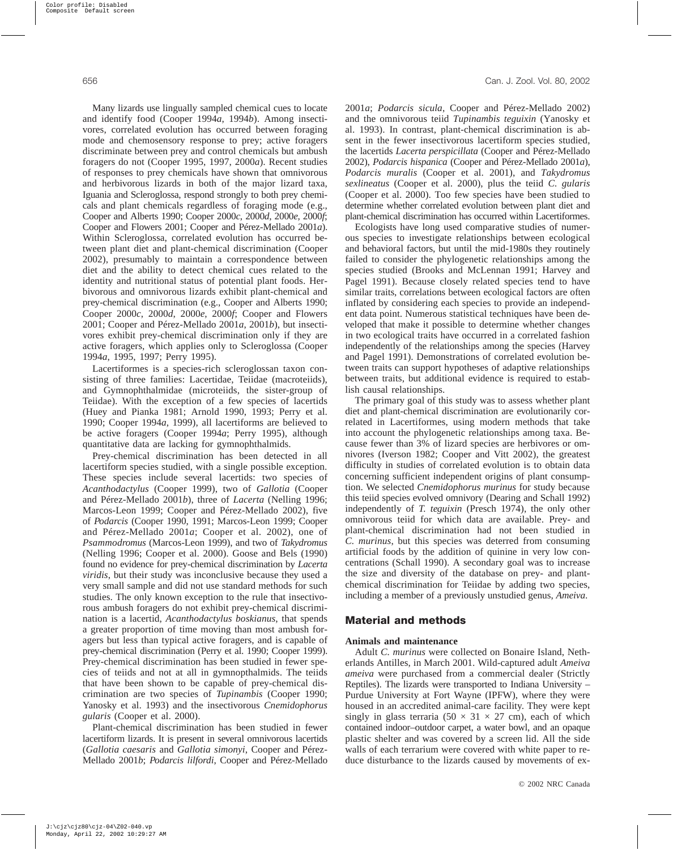Many lizards use lingually sampled chemical cues to locate and identify food (Cooper 1994*a*, 1994*b*). Among insectivores, correlated evolution has occurred between foraging mode and chemosensory response to prey; active foragers discriminate between prey and control chemicals but ambush foragers do not (Cooper 1995, 1997, 2000*a*). Recent studies of responses to prey chemicals have shown that omnivorous and herbivorous lizards in both of the major lizard taxa, Iguania and Scleroglossa, respond strongly to both prey chemicals and plant chemicals regardless of foraging mode (e.g., Cooper and Alberts 1990; Cooper 2000*c*, 2000*d*, 2000*e*, 2000*f*; Cooper and Flowers 2001; Cooper and Pérez-Mellado 2001*a*). Within Scleroglossa, correlated evolution has occurred between plant diet and plant-chemical discrimination (Cooper 2002), presumably to maintain a correspondence between diet and the ability to detect chemical cues related to the identity and nutritional status of potential plant foods. Herbivorous and omnivorous lizards exhibit plant-chemical and prey-chemical discrimination (e.g., Cooper and Alberts 1990; Cooper 2000*c*, 2000*d*, 2000*e*, 2000*f*; Cooper and Flowers 2001; Cooper and Pérez-Mellado 2001*a*, 2001*b*), but insectivores exhibit prey-chemical discrimination only if they are active foragers, which applies only to Scleroglossa (Cooper 1994*a*, 1995, 1997; Perry 1995).

Lacertiformes is a species-rich scleroglossan taxon consisting of three families: Lacertidae, Teiidae (macroteiids), and Gymnophthalmidae (microteiids, the sister-group of Teiidae). With the exception of a few species of lacertids (Huey and Pianka 1981; Arnold 1990, 1993; Perry et al. 1990; Cooper 1994*a*, 1999), all lacertiforms are believed to be active foragers (Cooper 1994*a*; Perry 1995), although quantitative data are lacking for gymnophthalmids.

Prey-chemical discrimination has been detected in all lacertiform species studied, with a single possible exception. These species include several lacertids: two species of *Acanthodactylus* (Cooper 1999), two of *Gallotia* (Cooper and Pérez-Mellado 2001*b*), three of *Lacerta* (Nelling 1996; Marcos-Leon 1999; Cooper and Pérez-Mellado 2002), five of *Podarcis* (Cooper 1990, 1991; Marcos-Leon 1999; Cooper and Pérez-Mellado 2001*a*; Cooper et al. 2002), one of *Psammodromus* (Marcos-Leon 1999), and two of *Takydromus* (Nelling 1996; Cooper et al. 2000). Goose and Bels (1990) found no evidence for prey-chemical discrimination by *Lacerta viridis*, but their study was inconclusive because they used a very small sample and did not use standard methods for such studies. The only known exception to the rule that insectivorous ambush foragers do not exhibit prey-chemical discrimination is a lacertid, *Acanthodactylus boskianus*, that spends a greater proportion of time moving than most ambush foragers but less than typical active foragers, and is capable of prey-chemical discrimination (Perry et al. 1990; Cooper 1999). Prey-chemical discrimination has been studied in fewer species of teiids and not at all in gymnopthalmids. The teiids that have been shown to be capable of prey-chemical discrimination are two species of *Tupinambis* (Cooper 1990; Yanosky et al. 1993) and the insectivorous *Cnemidophorus gularis* (Cooper et al. 2000).

Plant-chemical discrimination has been studied in fewer lacertiform lizards. It is present in several omnivorous lacertids (*Gallotia caesaris* and *Gallotia simonyi*, Cooper and Pérez-Mellado 2001*b*; *Podarcis lilfordi*, Cooper and Pérez-Mellado 2001*a*; *Podarcis sicula*, Cooper and Pérez-Mellado 2002) and the omnivorous teiid *Tupinambis teguixin* (Yanosky et al. 1993). In contrast, plant-chemical discrimination is absent in the fewer insectivorous lacertiform species studied, the lacertids *Lacerta perspicillata* (Cooper and Pérez-Mellado 2002), *Podarcis hispanica* (Cooper and Pérez-Mellado 2001*a*), *Podarcis muralis* (Cooper et al. 2001), and *Takydromus sexlineatus* (Cooper et al. 2000), plus the teiid *C. gularis* (Cooper et al. 2000). Too few species have been studied to determine whether correlated evolution between plant diet and plant-chemical discrimination has occurred within Lacertiformes.

Ecologists have long used comparative studies of numerous species to investigate relationships between ecological and behavioral factors, but until the mid-1980s they routinely failed to consider the phylogenetic relationships among the species studied (Brooks and McLennan 1991; Harvey and Pagel 1991). Because closely related species tend to have similar traits, correlations between ecological factors are often inflated by considering each species to provide an independent data point. Numerous statistical techniques have been developed that make it possible to determine whether changes in two ecological traits have occurred in a correlated fashion independently of the relationships among the species (Harvey and Pagel 1991). Demonstrations of correlated evolution between traits can support hypotheses of adaptive relationships between traits, but additional evidence is required to establish causal relationships.

The primary goal of this study was to assess whether plant diet and plant-chemical discrimination are evolutionarily correlated in Lacertiformes, using modern methods that take into account the phylogenetic relationships among taxa. Because fewer than 3% of lizard species are herbivores or omnivores (Iverson 1982; Cooper and Vitt 2002), the greatest difficulty in studies of correlated evolution is to obtain data concerning sufficient independent origins of plant consumption. We selected *Cnemidophorus murinus* for study because this teiid species evolved omnivory (Dearing and Schall 1992) independently of *T. teguixin* (Presch 1974), the only other omnivorous teiid for which data are available. Prey- and plant-chemical discrimination had not been studied in *C. murinus*, but this species was deterred from consuming artificial foods by the addition of quinine in very low concentrations (Schall 1990). A secondary goal was to increase the size and diversity of the database on prey- and plantchemical discrimination for Teiidae by adding two species, including a member of a previously unstudied genus, *Ameiva*.

# **Material and methods**

# **Animals and maintenance**

Adult *C. murinus* were collected on Bonaire Island, Netherlands Antilles, in March 2001. Wild-captured adult *Ameiva ameiva* were purchased from a commercial dealer (Strictly Reptiles). The lizards were transported to Indiana University – Purdue University at Fort Wayne (IPFW), where they were housed in an accredited animal-care facility. They were kept singly in glass terraria (50  $\times$  31  $\times$  27 cm), each of which contained indoor–outdoor carpet, a water bowl, and an opaque plastic shelter and was covered by a screen lid. All the side walls of each terrarium were covered with white paper to reduce disturbance to the lizards caused by movements of ex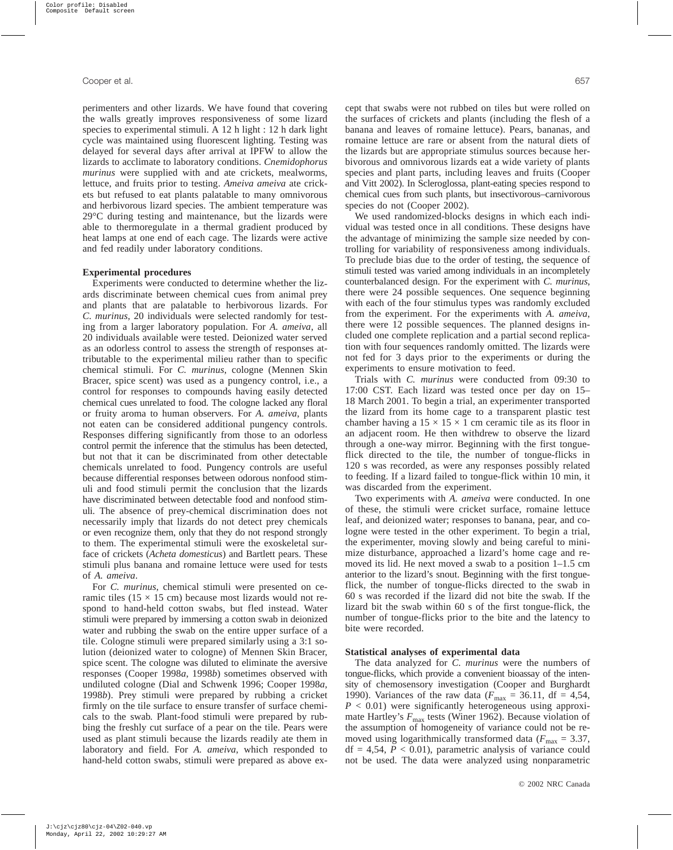perimenters and other lizards. We have found that covering the walls greatly improves responsiveness of some lizard species to experimental stimuli. A 12 h light : 12 h dark light cycle was maintained using fluorescent lighting. Testing was delayed for several days after arrival at IPFW to allow the lizards to acclimate to laboratory conditions. *Cnemidophorus murinus* were supplied with and ate crickets, mealworms, lettuce, and fruits prior to testing. *Ameiva ameiva* ate crickets but refused to eat plants palatable to many omnivorous and herbivorous lizard species. The ambient temperature was 29°C during testing and maintenance, but the lizards were able to thermoregulate in a thermal gradient produced by heat lamps at one end of each cage. The lizards were active and fed readily under laboratory conditions.

#### **Experimental procedures**

Experiments were conducted to determine whether the lizards discriminate between chemical cues from animal prey and plants that are palatable to herbivorous lizards. For *C. murinus*, 20 individuals were selected randomly for testing from a larger laboratory population. For *A. ameiva*, all 20 individuals available were tested. Deionized water served as an odorless control to assess the strength of responses attributable to the experimental milieu rather than to specific chemical stimuli. For *C. murinus*, cologne (Mennen Skin Bracer, spice scent) was used as a pungency control, i.e., a control for responses to compounds having easily detected chemical cues unrelated to food. The cologne lacked any floral or fruity aroma to human observers. For *A. ameiva*, plants not eaten can be considered additional pungency controls. Responses differing significantly from those to an odorless control permit the inference that the stimulus has been detected, but not that it can be discriminated from other detectable chemicals unrelated to food. Pungency controls are useful because differential responses between odorous nonfood stimuli and food stimuli permit the conclusion that the lizards have discriminated between detectable food and nonfood stimuli. The absence of prey-chemical discrimination does not necessarily imply that lizards do not detect prey chemicals or even recognize them, only that they do not respond strongly to them. The experimental stimuli were the exoskeletal surface of crickets (*Acheta domesticus*) and Bartlett pears. These stimuli plus banana and romaine lettuce were used for tests of *A. ameiva*.

For *C. murinus*, chemical stimuli were presented on ceramic tiles ( $15 \times 15$  cm) because most lizards would not respond to hand-held cotton swabs, but fled instead. Water stimuli were prepared by immersing a cotton swab in deionized water and rubbing the swab on the entire upper surface of a tile. Cologne stimuli were prepared similarly using a 3:1 solution (deionized water to cologne) of Mennen Skin Bracer, spice scent. The cologne was diluted to eliminate the aversive responses (Cooper 1998*a*, 1998*b*) sometimes observed with undiluted cologne (Dial and Schwenk 1996; Cooper 1998*a*, 1998*b*). Prey stimuli were prepared by rubbing a cricket firmly on the tile surface to ensure transfer of surface chemicals to the swab. Plant-food stimuli were prepared by rubbing the freshly cut surface of a pear on the tile. Pears were used as plant stimuli because the lizards readily ate them in laboratory and field. For *A. ameiva*, which responded to hand-held cotton swabs, stimuli were prepared as above except that swabs were not rubbed on tiles but were rolled on the surfaces of crickets and plants (including the flesh of a banana and leaves of romaine lettuce). Pears, bananas, and romaine lettuce are rare or absent from the natural diets of the lizards but are appropriate stimulus sources because herbivorous and omnivorous lizards eat a wide variety of plants species and plant parts, including leaves and fruits (Cooper and Vitt 2002). In Scleroglossa, plant-eating species respond to chemical cues from such plants, but insectivorous–carnivorous species do not (Cooper 2002).

We used randomized-blocks designs in which each individual was tested once in all conditions. These designs have the advantage of minimizing the sample size needed by controlling for variability of responsiveness among individuals. To preclude bias due to the order of testing, the sequence of stimuli tested was varied among individuals in an incompletely counterbalanced design. For the experiment with *C. murinus*, there were 24 possible sequences. One sequence beginning with each of the four stimulus types was randomly excluded from the experiment. For the experiments with *A. ameiva*, there were 12 possible sequences. The planned designs included one complete replication and a partial second replication with four sequences randomly omitted. The lizards were not fed for 3 days prior to the experiments or during the experiments to ensure motivation to feed.

Trials with *C. murinus* were conducted from 09:30 to 17:00 CST. Each lizard was tested once per day on 15– 18 March 2001. To begin a trial, an experimenter transported the lizard from its home cage to a transparent plastic test chamber having a  $15 \times 15 \times 1$  cm ceramic tile as its floor in an adjacent room. He then withdrew to observe the lizard through a one-way mirror. Beginning with the first tongueflick directed to the tile, the number of tongue-flicks in 120 s was recorded, as were any responses possibly related to feeding. If a lizard failed to tongue-flick within 10 min, it was discarded from the experiment.

Two experiments with *A. ameiva* were conducted. In one of these, the stimuli were cricket surface, romaine lettuce leaf, and deionized water; responses to banana, pear, and cologne were tested in the other experiment. To begin a trial, the experimenter, moving slowly and being careful to minimize disturbance, approached a lizard's home cage and removed its lid. He next moved a swab to a position 1–1.5 cm anterior to the lizard's snout. Beginning with the first tongueflick, the number of tongue-flicks directed to the swab in 60 s was recorded if the lizard did not bite the swab. If the lizard bit the swab within 60 s of the first tongue-flick, the number of tongue-flicks prior to the bite and the latency to bite were recorded.

#### **Statistical analyses of experimental data**

The data analyzed for *C. murinus* were the numbers of tongue-flicks, which provide a convenient bioassay of the intensity of chemosensory investigation (Cooper and Burghardt 1990). Variances of the raw data ( $F_{\text{max}} = 36.11$ , df = 4,54, *P* < 0.01) were significantly heterogeneous using approximate Hartley's  $F_{\text{max}}$  tests (Winer 1962). Because violation of the assumption of homogeneity of variance could not be removed using logarithmically transformed data ( $F_{\text{max}} = 3.37$ ,  $df = 4,54$ ,  $P < 0.01$ ), parametric analysis of variance could not be used. The data were analyzed using nonparametric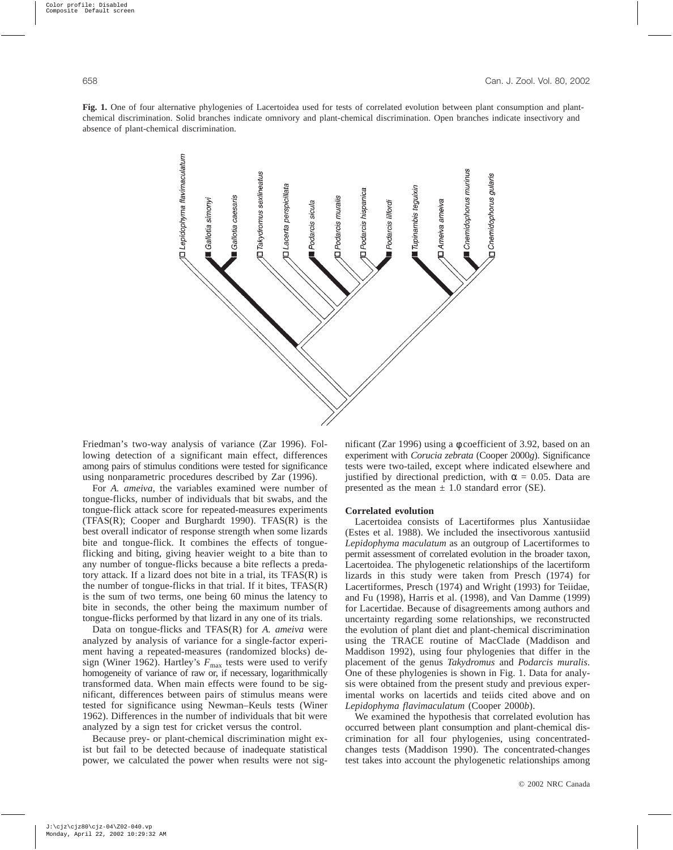**Fig. 1.** One of four alternative phylogenies of Lacertoidea used for tests of correlated evolution between plant consumption and plantchemical discrimination. Solid branches indicate omnivory and plant-chemical discrimination. Open branches indicate insectivory and absence of plant-chemical discrimination.



Friedman's two-way analysis of variance (Zar 1996). Following detection of a significant main effect, differences among pairs of stimulus conditions were tested for significance using nonparametric procedures described by Zar (1996).

For *A. ameiva*, the variables examined were number of tongue-flicks, number of individuals that bit swabs, and the tongue-flick attack score for repeated-measures experiments (TFAS(R); Cooper and Burghardt 1990). TFAS(R) is the best overall indicator of response strength when some lizards bite and tongue-flick. It combines the effects of tongueflicking and biting, giving heavier weight to a bite than to any number of tongue-flicks because a bite reflects a predatory attack. If a lizard does not bite in a trial, its TFAS(R) is the number of tongue-flicks in that trial. If it bites, TFAS(R) is the sum of two terms, one being 60 minus the latency to bite in seconds, the other being the maximum number of tongue-flicks performed by that lizard in any one of its trials.

Data on tongue-flicks and TFAS(R) for *A. ameiva* were analyzed by analysis of variance for a single-factor experiment having a repeated-measures (randomized blocks) design (Winer 1962). Hartley's  $F_{\text{max}}$  tests were used to verify homogeneity of variance of raw or, if necessary, logarithmically transformed data. When main effects were found to be significant, differences between pairs of stimulus means were tested for significance using Newman–Keuls tests (Winer 1962). Differences in the number of individuals that bit were analyzed by a sign test for cricket versus the control.

Because prey- or plant-chemical discrimination might exist but fail to be detected because of inadequate statistical power, we calculated the power when results were not significant (Zar 1996) using a φ coefficient of 3.92, based on an experiment with *Corucia zebrata* (Cooper 2000*g*). Significance tests were two-tailed, except where indicated elsewhere and justified by directional prediction, with  $\alpha = 0.05$ . Data are presented as the mean  $\pm$  1.0 standard error (SE).

## **Correlated evolution**

Lacertoidea consists of Lacertiformes plus Xantusiidae (Estes et al. 1988). We included the insectivorous xantusiid *Lepidophyma maculatum* as an outgroup of Lacertiformes to permit assessment of correlated evolution in the broader taxon, Lacertoidea. The phylogenetic relationships of the lacertiform lizards in this study were taken from Presch (1974) for Lacertiformes, Presch (1974) and Wright (1993) for Teiidae, and Fu (1998), Harris et al. (1998), and Van Damme (1999) for Lacertidae. Because of disagreements among authors and uncertainty regarding some relationships, we reconstructed the evolution of plant diet and plant-chemical discrimination using the TRACE routine of MacClade (Maddison and Maddison 1992), using four phylogenies that differ in the placement of the genus *Takydromus* and *Podarcis muralis*. One of these phylogenies is shown in Fig. 1. Data for analysis were obtained from the present study and previous experimental works on lacertids and teiids cited above and on *Lepidophyma flavimaculatum* (Cooper 2000*b*).

We examined the hypothesis that correlated evolution has occurred between plant consumption and plant-chemical discrimination for all four phylogenies, using concentratedchanges tests (Maddison 1990). The concentrated-changes test takes into account the phylogenetic relationships among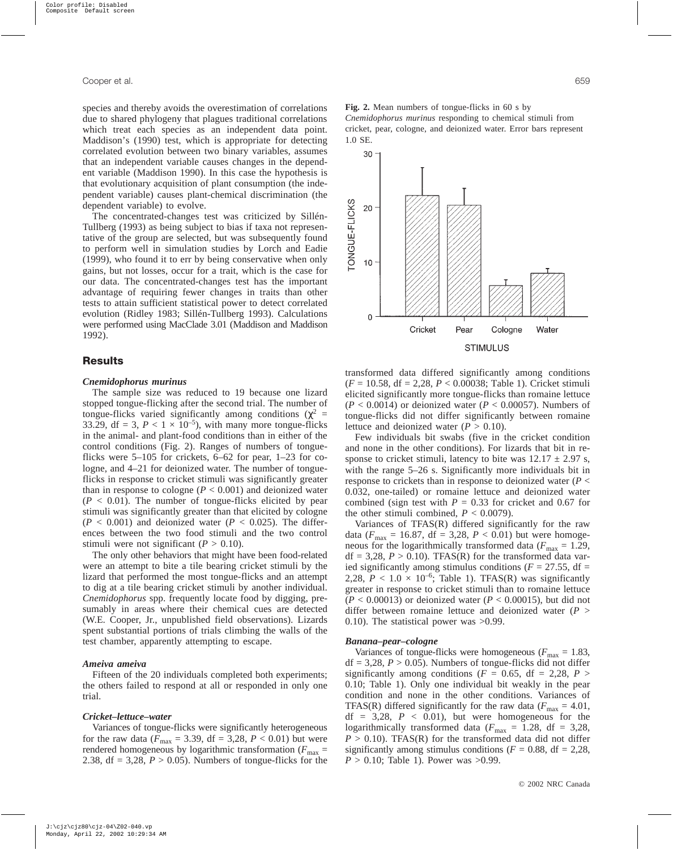species and thereby avoids the overestimation of correlations due to shared phylogeny that plagues traditional correlations which treat each species as an independent data point. Maddison's (1990) test, which is appropriate for detecting correlated evolution between two binary variables, assumes that an independent variable causes changes in the dependent variable (Maddison 1990). In this case the hypothesis is that evolutionary acquisition of plant consumption (the independent variable) causes plant-chemical discrimination (the dependent variable) to evolve.

The concentrated-changes test was criticized by Sillén-Tullberg (1993) as being subject to bias if taxa not representative of the group are selected, but was subsequently found to perform well in simulation studies by Lorch and Eadie (1999), who found it to err by being conservative when only gains, but not losses, occur for a trait, which is the case for our data. The concentrated-changes test has the important advantage of requiring fewer changes in traits than other tests to attain sufficient statistical power to detect correlated evolution (Ridley 1983; Sillén-Tullberg 1993). Calculations were performed using MacClade 3.01 (Maddison and Maddison 1992).

# **Results**

#### *Cnemidophorus murinus*

The sample size was reduced to 19 because one lizard stopped tongue-flicking after the second trial. The number of tongue-flicks varied significantly among conditions ( $\chi^2$  = 33.29, df = 3,  $P < 1 \times 10^{-5}$ ), with many more tongue-flicks in the animal- and plant-food conditions than in either of the control conditions (Fig. 2). Ranges of numbers of tongueflicks were 5–105 for crickets, 6–62 for pear, 1–23 for cologne, and 4–21 for deionized water. The number of tongueflicks in response to cricket stimuli was significantly greater than in response to cologne  $(P < 0.001)$  and deionized water  $(P < 0.01)$ . The number of tongue-flicks elicited by pear stimuli was significantly greater than that elicited by cologne  $(P < 0.001)$  and deionized water  $(P < 0.025)$ . The differences between the two food stimuli and the two control stimuli were not significant  $(P > 0.10)$ .

The only other behaviors that might have been food-related were an attempt to bite a tile bearing cricket stimuli by the lizard that performed the most tongue-flicks and an attempt to dig at a tile bearing cricket stimuli by another individual. *Cnemidophorus* spp. frequently locate food by digging, presumably in areas where their chemical cues are detected (W.E. Cooper, Jr., unpublished field observations). Lizards spent substantial portions of trials climbing the walls of the test chamber, apparently attempting to escape.

## *Ameiva ameiva*

Fifteen of the 20 individuals completed both experiments; the others failed to respond at all or responded in only one trial.

#### *Cricket–lettuce–water*

Variances of tongue-flicks were significantly heterogeneous for the raw data ( $F_{\text{max}} = 3.39$ , df = 3,28,  $P < 0.01$ ) but were rendered homogeneous by logarithmic transformation ( $F_{\text{max}}$  = 2.38,  $df = 3,28$ ,  $P > 0.05$ ). Numbers of tongue-flicks for the **Fig. 2.** Mean numbers of tongue-flicks in 60 s by *Cnemidophorus murinus* responding to chemical stimuli from cricket, pear, cologne, and deionized water. Error bars represent 1.0 SE.



transformed data differed significantly among conditions (*F* = 10.58, df = 2,28, *P* < 0.00038; Table 1). Cricket stimuli elicited significantly more tongue-flicks than romaine lettuce  $(P < 0.0014)$  or deionized water  $(P < 0.00057)$ . Numbers of tongue-flicks did not differ significantly between romaine lettuce and deionized water  $(P > 0.10)$ .

Few individuals bit swabs (five in the cricket condition and none in the other conditions). For lizards that bit in response to cricket stimuli, latency to bite was  $12.17 \pm 2.97$  s, with the range 5–26 s. Significantly more individuals bit in response to crickets than in response to deionized water (*P* < 0.032, one-tailed) or romaine lettuce and deionized water combined (sign test with  $P = 0.33$  for cricket and 0.67 for the other stimuli combined,  $P < 0.0079$ ).

Variances of TFAS(R) differed significantly for the raw data ( $F_{\text{max}} = 16.87$ , df = 3,28,  $P < 0.01$ ) but were homogeneous for the logarithmically transformed data ( $F_{\text{max}} = 1.29$ ,  $df = 3,28$ ,  $P > 0.10$ ). TFAS(R) for the transformed data varied significantly among stimulus conditions ( $F = 27.55$ , df = 2,28,  $P < 1.0 \times 10^{-6}$ ; Table 1). TFAS(R) was significantly greater in response to cricket stimuli than to romaine lettuce  $(P < 0.00013)$  or deionized water  $(P < 0.00015)$ , but did not differ between romaine lettuce and deionized water (*P* > 0.10). The statistical power was >0.99.

#### *Banana–pear–cologne*

Variances of tongue-flicks were homogeneous ( $F_{\text{max}} = 1.83$ ,  $df = 3,28, P > 0.05$ . Numbers of tongue-flicks did not differ significantly among conditions ( $F = 0.65$ , df = 2,28,  $P >$ 0.10; Table 1). Only one individual bit weakly in the pear condition and none in the other conditions. Variances of TFAS(R) differed significantly for the raw data ( $F_{\text{max}} = 4.01$ ,  $df = 3,28$ ,  $P < 0.01$ ), but were homogeneous for the logarithmically transformed data ( $F_{\text{max}} = 1.28$ , df = 3,28,  $P > 0.10$ ). TFAS(R) for the transformed data did not differ significantly among stimulus conditions ( $F = 0.88$ , df = 2,28,  $P > 0.10$ ; Table 1). Power was  $>0.99$ .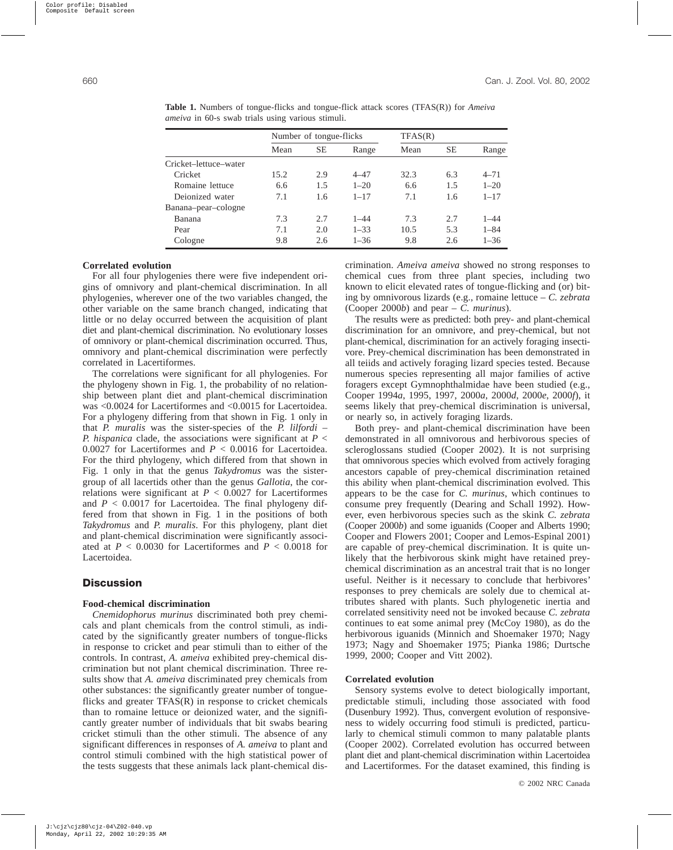|                       | Number of tongue-flicks |           |          | TFAS(R) |           |          |
|-----------------------|-------------------------|-----------|----------|---------|-----------|----------|
|                       | Mean                    | <b>SE</b> | Range    | Mean    | <b>SE</b> | Range    |
| Cricket-lettuce-water |                         |           |          |         |           |          |
| Cricket               | 15.2                    | 2.9       | $4 - 47$ | 32.3    | 6.3       | $4 - 71$ |
| Romaine lettuce       | 6.6                     | 1.5       | $1 - 20$ | 6.6     | 1.5       | $1 - 20$ |
| Deionized water       | 7.1                     | 1.6       | $1 - 17$ | 7.1     | 1.6       | $1 - 17$ |
| Banana-pear-cologne   |                         |           |          |         |           |          |
| Banana                | 7.3                     | 2.7       | $1 - 44$ | 7.3     | 2.7       | $1 - 44$ |
| Pear                  | 7.1                     | 2.0       | $1 - 33$ | 10.5    | 5.3       | $1 - 84$ |
| Cologne               | 9.8                     | 2.6       | $1 - 36$ | 9.8     | 2.6       | $1 - 36$ |

**Table 1.** Numbers of tongue-flicks and tongue-flick attack scores (TFAS(R)) for *Ameiva ameiva* in 60-s swab trials using various stimuli.

#### **Correlated evolution**

For all four phylogenies there were five independent origins of omnivory and plant-chemical discrimination. In all phylogenies, wherever one of the two variables changed, the other variable on the same branch changed, indicating that little or no delay occurred between the acquisition of plant diet and plant-chemical discrimination. No evolutionary losses of omnivory or plant-chemical discrimination occurred. Thus, omnivory and plant-chemical discrimination were perfectly correlated in Lacertiformes.

The correlations were significant for all phylogenies. For the phylogeny shown in Fig. 1, the probability of no relationship between plant diet and plant-chemical discrimination was <0.0024 for Lacertiformes and <0.0015 for Lacertoidea. For a phylogeny differing from that shown in Fig. 1 only in that *P. muralis* was the sister-species of the *P. lilfordi* – *P. hispanica* clade, the associations were significant at *P* < 0.0027 for Lacertiformes and *P* < 0.0016 for Lacertoidea. For the third phylogeny, which differed from that shown in Fig. 1 only in that the genus *Takydromus* was the sistergroup of all lacertids other than the genus *Gallotia*, the correlations were significant at  $P < 0.0027$  for Lacertiformes and *P* < 0.0017 for Lacertoidea. The final phylogeny differed from that shown in Fig. 1 in the positions of both *Takydromus* and *P. muralis*. For this phylogeny, plant diet and plant-chemical discrimination were significantly associated at  $P < 0.0030$  for Lacertiformes and  $P < 0.0018$  for Lacertoidea.

## **Discussion**

## **Food-chemical discrimination**

*Cnemidophorus murinus* discriminated both prey chemicals and plant chemicals from the control stimuli, as indicated by the significantly greater numbers of tongue-flicks in response to cricket and pear stimuli than to either of the controls. In contrast, *A. ameiva* exhibited prey-chemical discrimination but not plant chemical discrimination. Three results show that *A. ameiva* discriminated prey chemicals from other substances: the significantly greater number of tongueflicks and greater TFAS(R) in response to cricket chemicals than to romaine lettuce or deionized water, and the significantly greater number of individuals that bit swabs bearing cricket stimuli than the other stimuli. The absence of any significant differences in responses of *A. ameiva* to plant and control stimuli combined with the high statistical power of the tests suggests that these animals lack plant-chemical discrimination. *Ameiva ameiva* showed no strong responses to chemical cues from three plant species, including two known to elicit elevated rates of tongue-flicking and (or) biting by omnivorous lizards (e.g., romaine lettuce – *C. zebrata* (Cooper 2000*b*) and pear – *C. murinus*).

The results were as predicted: both prey- and plant-chemical discrimination for an omnivore, and prey-chemical, but not plant-chemical, discrimination for an actively foraging insectivore. Prey-chemical discrimination has been demonstrated in all teiids and actively foraging lizard species tested. Because numerous species representing all major families of active foragers except Gymnophthalmidae have been studied (e.g., Cooper 1994*a*, 1995, 1997, 2000*a*, 2000*d*, 2000*e*, 2000*f*), it seems likely that prey-chemical discrimination is universal, or nearly so, in actively foraging lizards.

Both prey- and plant-chemical discrimination have been demonstrated in all omnivorous and herbivorous species of scleroglossans studied (Cooper 2002). It is not surprising that omnivorous species which evolved from actively foraging ancestors capable of prey-chemical discrimination retained this ability when plant-chemical discrimination evolved. This appears to be the case for *C. murinus*, which continues to consume prey frequently (Dearing and Schall 1992). However, even herbivorous species such as the skink *C. zebrata* (Cooper 2000*b*) and some iguanids (Cooper and Alberts 1990; Cooper and Flowers 2001; Cooper and Lemos-Espinal 2001) are capable of prey-chemical discrimination. It is quite unlikely that the herbivorous skink might have retained preychemical discrimination as an ancestral trait that is no longer useful. Neither is it necessary to conclude that herbivores' responses to prey chemicals are solely due to chemical attributes shared with plants. Such phylogenetic inertia and correlated sensitivity need not be invoked because *C. zebrata* continues to eat some animal prey (McCoy 1980), as do the herbivorous iguanids (Minnich and Shoemaker 1970; Nagy 1973; Nagy and Shoemaker 1975; Pianka 1986; Durtsche 1999, 2000; Cooper and Vitt 2002).

## **Correlated evolution**

Sensory systems evolve to detect biologically important, predictable stimuli, including those associated with food (Dusenbury 1992). Thus, convergent evolution of responsiveness to widely occurring food stimuli is predicted, particularly to chemical stimuli common to many palatable plants (Cooper 2002). Correlated evolution has occurred between plant diet and plant-chemical discrimination within Lacertoidea and Lacertiformes. For the dataset examined, this finding is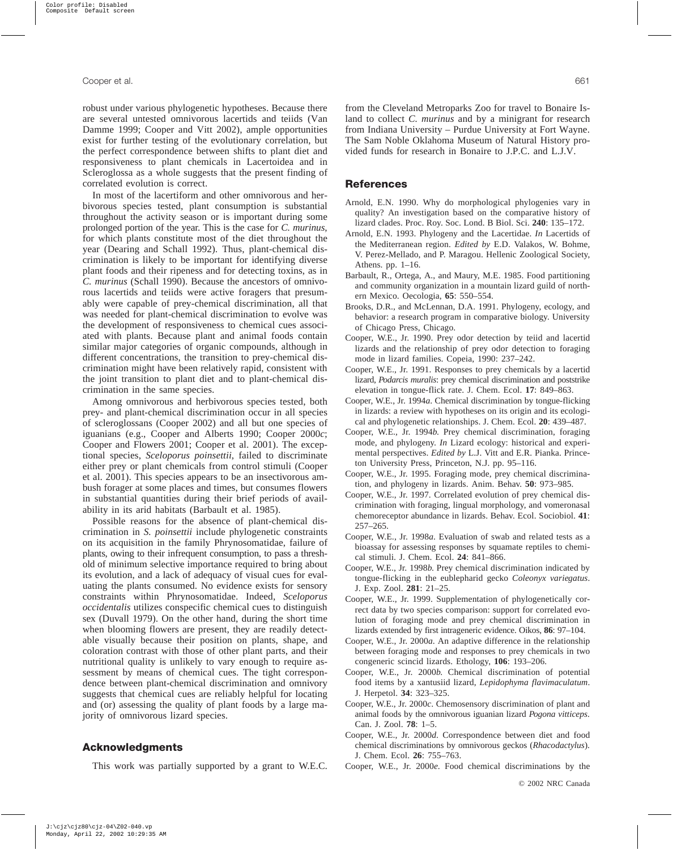robust under various phylogenetic hypotheses. Because there are several untested omnivorous lacertids and teiids (Van Damme 1999; Cooper and Vitt 2002), ample opportunities exist for further testing of the evolutionary correlation, but the perfect correspondence between shifts to plant diet and responsiveness to plant chemicals in Lacertoidea and in Scleroglossa as a whole suggests that the present finding of correlated evolution is correct.

In most of the lacertiform and other omnivorous and herbivorous species tested, plant consumption is substantial throughout the activity season or is important during some prolonged portion of the year. This is the case for *C. murinus*, for which plants constitute most of the diet throughout the year (Dearing and Schall 1992). Thus, plant-chemical discrimination is likely to be important for identifying diverse plant foods and their ripeness and for detecting toxins, as in *C. murinus* (Schall 1990). Because the ancestors of omnivorous lacertids and teiids were active foragers that presumably were capable of prey-chemical discrimination, all that was needed for plant-chemical discrimination to evolve was the development of responsiveness to chemical cues associated with plants. Because plant and animal foods contain similar major categories of organic compounds, although in different concentrations, the transition to prey-chemical discrimination might have been relatively rapid, consistent with the joint transition to plant diet and to plant-chemical discrimination in the same species.

Among omnivorous and herbivorous species tested, both prey- and plant-chemical discrimination occur in all species of scleroglossans (Cooper 2002) and all but one species of iguanians (e.g., Cooper and Alberts 1990; Cooper 2000*c*; Cooper and Flowers 2001; Cooper et al. 2001). The exceptional species, *Sceloporus poinsettii*, failed to discriminate either prey or plant chemicals from control stimuli (Cooper et al. 2001). This species appears to be an insectivorous ambush forager at some places and times, but consumes flowers in substantial quantities during their brief periods of availability in its arid habitats (Barbault et al. 1985).

Possible reasons for the absence of plant-chemical discrimination in *S. poinsettii* include phylogenetic constraints on its acquisition in the family Phrynosomatidae, failure of plants, owing to their infrequent consumption, to pass a threshold of minimum selective importance required to bring about its evolution, and a lack of adequacy of visual cues for evaluating the plants consumed. No evidence exists for sensory constraints within Phrynosomatidae. Indeed, *Sceloporus occidentalis* utilizes conspecific chemical cues to distinguish sex (Duvall 1979). On the other hand, during the short time when blooming flowers are present, they are readily detectable visually because their position on plants, shape, and coloration contrast with those of other plant parts, and their nutritional quality is unlikely to vary enough to require assessment by means of chemical cues. The tight correspondence between plant-chemical discrimination and omnivory suggests that chemical cues are reliably helpful for locating and (or) assessing the quality of plant foods by a large majority of omnivorous lizard species.

## **Acknowledgments**

This work was partially supported by a grant to W.E.C.

from the Cleveland Metroparks Zoo for travel to Bonaire Island to collect *C. murinus* and by a minigrant for research from Indiana University – Purdue University at Fort Wayne. The Sam Noble Oklahoma Museum of Natural History provided funds for research in Bonaire to J.P.C. and L.J.V.

#### **References**

- Arnold, E.N. 1990. Why do morphological phylogenies vary in quality? An investigation based on the comparative history of lizard clades. Proc. Roy. Soc. Lond. B Biol. Sci. **240**: 135–172.
- Arnold, E.N. 1993. Phylogeny and the Lacertidae. *In* Lacertids of the Mediterranean region. *Edited by* E.D. Valakos, W. Bohme, V. Perez-Mellado, and P. Maragou. Hellenic Zoological Society, Athens. pp. 1–16.
- Barbault, R., Ortega, A., and Maury, M.E. 1985. Food partitioning and community organization in a mountain lizard guild of northern Mexico. Oecologia, **65**: 550–554.
- Brooks, D.R., and McLennan, D.A. 1991. Phylogeny, ecology, and behavior: a research program in comparative biology. University of Chicago Press, Chicago.
- Cooper, W.E., Jr. 1990. Prey odor detection by teiid and lacertid lizards and the relationship of prey odor detection to foraging mode in lizard families. Copeia, 1990: 237–242.
- Cooper, W.E., Jr. 1991. Responses to prey chemicals by a lacertid lizard, *Podarcis muralis*: prey chemical discrimination and poststrike elevation in tongue-flick rate. J. Chem. Ecol. **17**: 849–863.
- Cooper, W.E., Jr. 1994*a*. Chemical discrimination by tongue-flicking in lizards: a review with hypotheses on its origin and its ecological and phylogenetic relationships. J. Chem. Ecol. **20**: 439–487.
- Cooper, W.E., Jr. 1994*b*. Prey chemical discrimination, foraging mode, and phylogeny. *In* Lizard ecology: historical and experimental perspectives. *Edited by* L.J. Vitt and E.R. Pianka. Princeton University Press, Princeton, N.J. pp. 95–116.
- Cooper, W.E., Jr. 1995. Foraging mode, prey chemical discrimination, and phylogeny in lizards. Anim. Behav. **50**: 973–985.
- Cooper, W.E., Jr. 1997. Correlated evolution of prey chemical discrimination with foraging, lingual morphology, and vomeronasal chemoreceptor abundance in lizards. Behav. Ecol. Sociobiol. **41**: 257–265.
- Cooper, W.E., Jr. 1998*a*. Evaluation of swab and related tests as a bioassay for assessing responses by squamate reptiles to chemical stimuli. J. Chem. Ecol. **24**: 841–866.
- Cooper, W.E., Jr. 1998*b*. Prey chemical discrimination indicated by tongue-flicking in the eublepharid gecko *Coleonyx variegatus*. J. Exp. Zool. **281**: 21–25.
- Cooper, W.E., Jr. 1999. Supplementation of phylogenetically correct data by two species comparison: support for correlated evolution of foraging mode and prey chemical discrimination in lizards extended by first intrageneric evidence. Oikos, **86**: 97–104.
- Cooper, W.E., Jr. 2000*a*. An adaptive difference in the relationship between foraging mode and responses to prey chemicals in two congeneric scincid lizards. Ethology, **106**: 193–206.
- Cooper, W.E., Jr. 2000*b*. Chemical discrimination of potential food items by a xantusiid lizard, *Lepidophyma flavimaculatum*. J. Herpetol. **34**: 323–325.
- Cooper, W.E., Jr. 2000*c*. Chemosensory discrimination of plant and animal foods by the omnivorous iguanian lizard *Pogona vitticeps*. Can. J. Zool. **78**: 1–5.
- Cooper, W.E., Jr. 2000*d*. Correspondence between diet and food chemical discriminations by omnivorous geckos (*Rhacodactylus*). J. Chem. Ecol. **26**: 755–763.
- Cooper, W.E., Jr. 2000*e*. Food chemical discriminations by the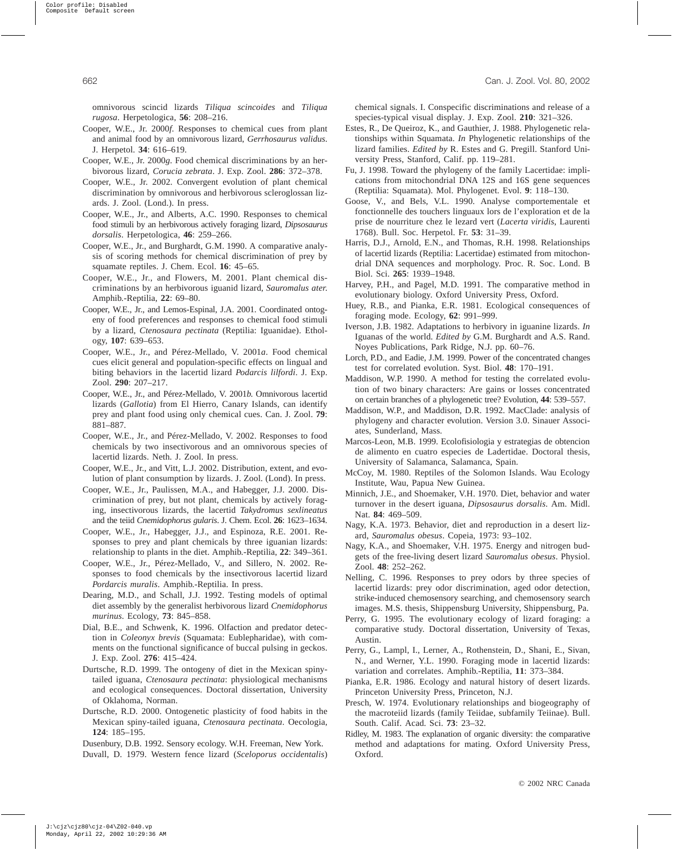omnivorous scincid lizards *Tiliqua scincoides* and *Tiliqua rugosa*. Herpetologica, **56**: 208–216.

- Cooper, W.E., Jr. 2000*f*. Responses to chemical cues from plant and animal food by an omnivorous lizard, *Gerrhosaurus validus*. J. Herpetol. **34**: 616–619.
- Cooper, W.E., Jr. 2000*g*. Food chemical discriminations by an herbivorous lizard, *Corucia zebrata*. J. Exp. Zool. **286**: 372–378.
- Cooper, W.E., Jr. 2002. Convergent evolution of plant chemical discrimination by omnivorous and herbivorous scleroglossan lizards. J. Zool. (Lond.). In press.
- Cooper, W.E., Jr., and Alberts, A.C. 1990. Responses to chemical food stimuli by an herbivorous actively foraging lizard, *Dipsosaurus dorsalis*. Herpetologica, **46**: 259–266.
- Cooper, W.E., Jr., and Burghardt, G.M. 1990. A comparative analysis of scoring methods for chemical discrimination of prey by squamate reptiles. J. Chem. Ecol. **16**: 45–65.
- Cooper, W.E., Jr., and Flowers, M. 2001. Plant chemical discriminations by an herbivorous iguanid lizard, *Sauromalus ater*. Amphib.-Reptilia, **22**: 69–80.
- Cooper, W.E., Jr., and Lemos-Espinal, J.A. 2001. Coordinated ontogeny of food preferences and responses to chemical food stimuli by a lizard, *Ctenosaura pectinata* (Reptilia: Iguanidae). Ethology, **107**: 639–653.
- Cooper, W.E., Jr., and Pérez-Mellado, V. 2001*a*. Food chemical cues elicit general and population-specific effects on lingual and biting behaviors in the lacertid lizard *Podarcis lilfordi*. J. Exp. Zool. **290**: 207–217.
- Cooper, W.E., Jr., and Pérez-Mellado, V. 2001*b*. Omnivorous lacertid lizards (*Gallotia*) from El Hierro, Canary Islands, can identify prey and plant food using only chemical cues. Can. J. Zool. **79**: 881–887.
- Cooper, W.E., Jr., and Pérez-Mellado, V. 2002. Responses to food chemicals by two insectivorous and an omnivorous species of lacertid lizards. Neth. J. Zool. In press.
- Cooper, W.E., Jr., and Vitt, L.J. 2002. Distribution, extent, and evolution of plant consumption by lizards. J. Zool. (Lond). In press.
- Cooper, W.E., Jr., Paulissen, M.A., and Habegger, J.J. 2000. Discrimination of prey, but not plant, chemicals by actively foraging, insectivorous lizards, the lacertid *Takydromus sexlineatus* and the teiid *Cnemidophorus gularis*. J. Chem. Ecol. **26**: 1623–1634.
- Cooper, W.E., Jr., Habegger, J.J., and Espinoza, R.E. 2001. Responses to prey and plant chemicals by three iguanian lizards: relationship to plants in the diet. Amphib.-Reptilia, **22**: 349–361.
- Cooper, W.E., Jr., Pérez-Mellado, V., and Sillero, N. 2002. Responses to food chemicals by the insectivorous lacertid lizard *Pordarcis muralis*. Amphib.-Reptilia. In press.
- Dearing, M.D., and Schall, J.J. 1992. Testing models of optimal diet assembly by the generalist herbivorous lizard *Cnemidophorus murinus*. Ecology, **73**: 845–858.
- Dial, B.E., and Schwenk, K. 1996. Olfaction and predator detection in *Coleonyx brevis* (Squamata: Eublepharidae), with comments on the functional significance of buccal pulsing in geckos. J. Exp. Zool. **276**: 415–424.
- Durtsche, R.D. 1999. The ontogeny of diet in the Mexican spinytailed iguana, *Ctenosaura pectinata*: physiological mechanisms and ecological consequences. Doctoral dissertation, University of Oklahoma, Norman.
- Durtsche, R.D. 2000. Ontogenetic plasticity of food habits in the Mexican spiny-tailed iguana, *Ctenosaura pectinata*. Oecologia, **124**: 185–195.

Dusenbury, D.B. 1992. Sensory ecology. W.H. Freeman, New York.

Duvall, D. 1979. Western fence lizard (*Sceloporus occidentalis*)

chemical signals. I. Conspecific discriminations and release of a species-typical visual display. J. Exp. Zool. **210**: 321–326.

- Estes, R., De Queiroz, K., and Gauthier, J. 1988. Phylogenetic relationships within Squamata. *In* Phylogenetic relationships of the lizard families. *Edited by* R. Estes and G. Pregill. Stanford University Press, Stanford, Calif. pp. 119–281.
- Fu, J. 1998. Toward the phylogeny of the family Lacertidae: implications from mitochondrial DNA 12S and 16S gene sequences (Reptilia: Squamata). Mol. Phylogenet. Evol. **9**: 118–130.
- Goose, V., and Bels, V.L. 1990. Analyse comportementale et fonctionnelle des touchers linguaux lors de l'exploration et de la prise de nourriture chez le lezard vert (*Lacerta viridis*, Laurenti 1768). Bull. Soc. Herpetol. Fr. **53**: 31–39.
- Harris, D.J., Arnold, E.N., and Thomas, R.H. 1998. Relationships of lacertid lizards (Reptilia: Lacertidae) estimated from mitochondrial DNA sequences and morphology. Proc. R. Soc. Lond. B Biol. Sci. **265**: 1939–1948.
- Harvey, P.H., and Pagel, M.D. 1991. The comparative method in evolutionary biology. Oxford University Press, Oxford.
- Huey, R.B., and Pianka, E.R. 1981. Ecological consequences of foraging mode. Ecology, **62**: 991–999.
- Iverson, J.B. 1982. Adaptations to herbivory in iguanine lizards. *In* Iguanas of the world. *Edited by* G.M. Burghardt and A.S. Rand. Noyes Publications, Park Ridge, N.J. pp. 60–76.
- Lorch, P.D., and Eadie, J.M. 1999. Power of the concentrated changes test for correlated evolution. Syst. Biol. **48**: 170–191.
- Maddison, W.P. 1990. A method for testing the correlated evolution of two binary characters: Are gains or losses concentrated on certain branches of a phylogenetic tree? Evolution, **44**: 539–557.
- Maddison, W.P., and Maddison, D.R. 1992. MacClade: analysis of phylogeny and character evolution. Version 3.0. Sinauer Associates, Sunderland, Mass.
- Marcos-Leon, M.B. 1999. Ecolofisiologia y estrategias de obtencion de alimento en cuatro especies de Ladertidae. Doctoral thesis, University of Salamanca, Salamanca, Spain.
- McCoy, M. 1980. Reptiles of the Solomon Islands. Wau Ecology Institute, Wau, Papua New Guinea.
- Minnich, J.E., and Shoemaker, V.H. 1970. Diet, behavior and water turnover in the desert iguana, *Dipsosaurus dorsalis*. Am. Midl. Nat. **84**: 469–509.
- Nagy, K.A. 1973. Behavior, diet and reproduction in a desert lizard, *Sauromalus obesus*. Copeia, 1973: 93–102.
- Nagy, K.A., and Shoemaker, V.H. 1975. Energy and nitrogen budgets of the free-living desert lizard *Sauromalus obesus*. Physiol. Zool. **48**: 252–262.
- Nelling, C. 1996. Responses to prey odors by three species of lacertid lizards: prey odor discrimination, aged odor detection, strike-induced chemosensory searching, and chemosensory search images. M.S. thesis, Shippensburg University, Shippensburg, Pa.
- Perry, G. 1995. The evolutionary ecology of lizard foraging: a comparative study. Doctoral dissertation, University of Texas, Austin.
- Perry, G., Lampl, I., Lerner, A., Rothenstein, D., Shani, E., Sivan, N., and Werner, Y.L. 1990. Foraging mode in lacertid lizards: variation and correlates. Amphib.-Reptilia, **11**: 373–384.
- Pianka, E.R. 1986. Ecology and natural history of desert lizards. Princeton University Press, Princeton, N.J.
- Presch, W. 1974. Evolutionary relationships and biogeography of the macroteiid lizards (family Teiidae, subfamily Teiinae). Bull. South. Calif. Acad. Sci. **73**: 23–32.
- Ridley, M. 1983. The explanation of organic diversity: the comparative method and adaptations for mating. Oxford University Press, Oxford.

© 2002 NRC Canada